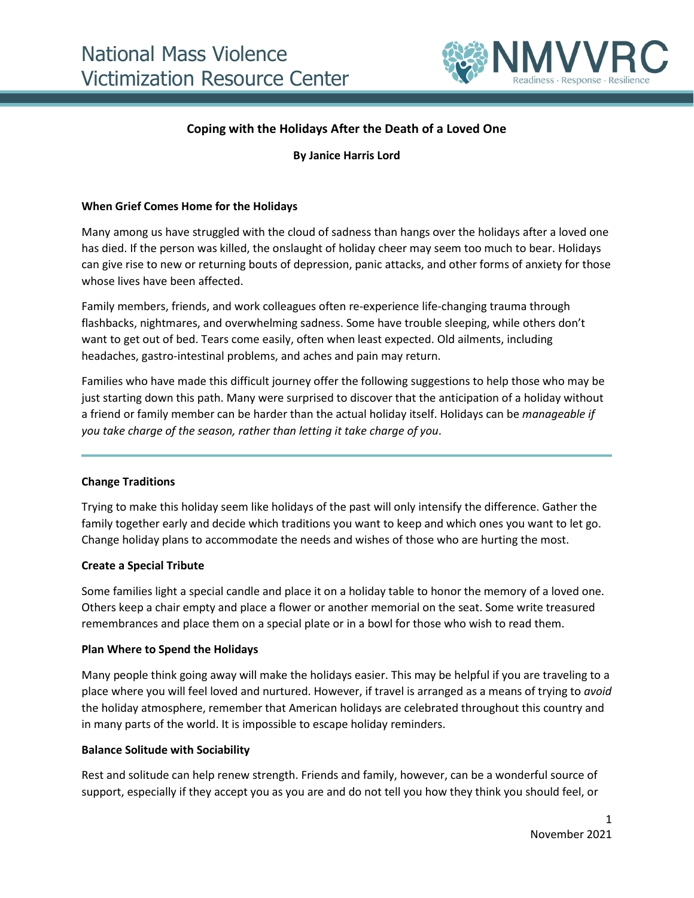

# **Coping with the Holidays After the Death of a Loved One**

**By Janice Harris Lord**

### **When Grief Comes Home for the Holidays**

Many among us have struggled with the cloud of sadness than hangs over the holidays after a loved one has died. If the person was killed, the onslaught of holiday cheer may seem too much to bear. Holidays can give rise to new or returning bouts of depression, panic attacks, and other forms of anxiety for those whose lives have been affected.

Family members, friends, and work colleagues often re-experience life-changing trauma through flashbacks, nightmares, and overwhelming sadness. Some have trouble sleeping, while others don't want to get out of bed. Tears come easily, often when least expected. Old ailments, including headaches, gastro-intestinal problems, and aches and pain may return.

Families who have made this difficult journey offer the following suggestions to help those who may be just starting down this path. Many were surprised to discover that the anticipation of a holiday without a friend or family member can be harder than the actual holiday itself. Holidays can be *manageable if you take charge of the season, rather than letting it take charge of you*.

### **Change Traditions**

Trying to make this holiday seem like holidays of the past will only intensify the difference. Gather the family together early and decide which traditions you want to keep and which ones you want to let go. Change holiday plans to accommodate the needs and wishes of those who are hurting the most.

### **Create a Special Tribute**

Some families light a special candle and place it on a holiday table to honor the memory of a loved one. Others keep a chair empty and place a flower or another memorial on the seat. Some write treasured remembrances and place them on a special plate or in a bowl for those who wish to read them.

### **Plan Where to Spend the Holidays**

Many people think going away will make the holidays easier. This may be helpful if you are traveling to a place where you will feel loved and nurtured. However, if travel is arranged as a means of trying to *avoid* the holiday atmosphere, remember that American holidays are celebrated throughout this country and in many parts of the world. It is impossible to escape holiday reminders.

### **Balance Solitude with Sociability**

Rest and solitude can help renew strength. Friends and family, however, can be a wonderful source of support, especially if they accept you as you are and do not tell you how they think you should feel, or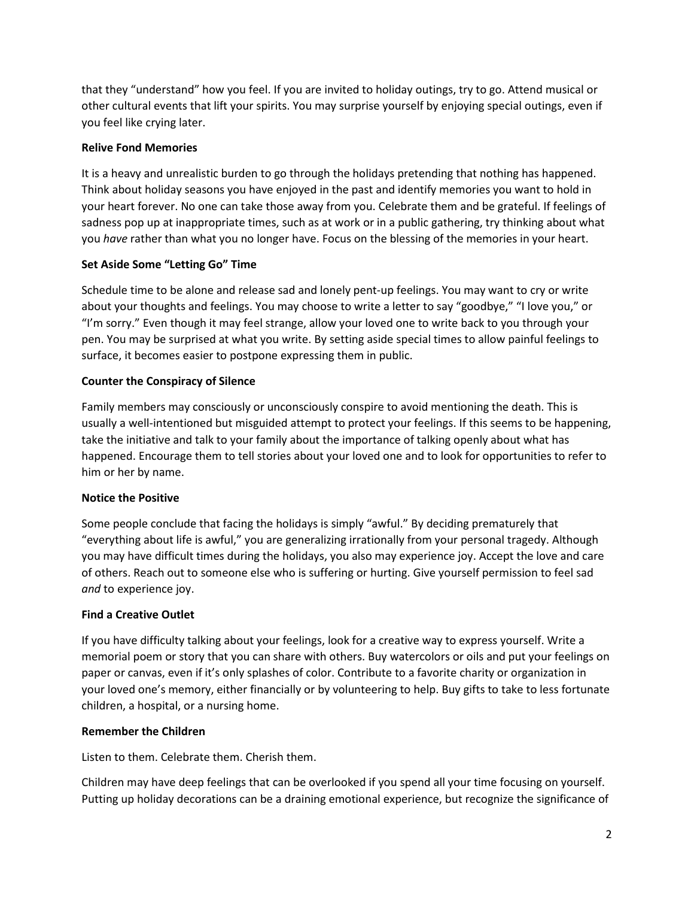that they "understand" how you feel. If you are invited to holiday outings, try to go. Attend musical or other cultural events that lift your spirits. You may surprise yourself by enjoying special outings, even if you feel like crying later.

## **Relive Fond Memories**

It is a heavy and unrealistic burden to go through the holidays pretending that nothing has happened. Think about holiday seasons you have enjoyed in the past and identify memories you want to hold in your heart forever. No one can take those away from you. Celebrate them and be grateful. If feelings of sadness pop up at inappropriate times, such as at work or in a public gathering, try thinking about what you *have* rather than what you no longer have. Focus on the blessing of the memories in your heart.

### **Set Aside Some "Letting Go" Time**

Schedule time to be alone and release sad and lonely pent-up feelings. You may want to cry or write about your thoughts and feelings. You may choose to write a letter to say "goodbye," "I love you," or "I'm sorry." Even though it may feel strange, allow your loved one to write back to you through your pen. You may be surprised at what you write. By setting aside special times to allow painful feelings to surface, it becomes easier to postpone expressing them in public.

### **Counter the Conspiracy of Silence**

Family members may consciously or unconsciously conspire to avoid mentioning the death. This is usually a well-intentioned but misguided attempt to protect your feelings. If this seems to be happening, take the initiative and talk to your family about the importance of talking openly about what has happened. Encourage them to tell stories about your loved one and to look for opportunities to refer to him or her by name.

### **Notice the Positive**

Some people conclude that facing the holidays is simply "awful." By deciding prematurely that "everything about life is awful," you are generalizing irrationally from your personal tragedy. Although you may have difficult times during the holidays, you also may experience joy. Accept the love and care of others. Reach out to someone else who is suffering or hurting. Give yourself permission to feel sad *and* to experience joy.

## **Find a Creative Outlet**

If you have difficulty talking about your feelings, look for a creative way to express yourself. Write a memorial poem or story that you can share with others. Buy watercolors or oils and put your feelings on paper or canvas, even if it's only splashes of color. Contribute to a favorite charity or organization in your loved one's memory, either financially or by volunteering to help. Buy gifts to take to less fortunate children, a hospital, or a nursing home.

### **Remember the Children**

Listen to them. Celebrate them. Cherish them.

Children may have deep feelings that can be overlooked if you spend all your time focusing on yourself. Putting up holiday decorations can be a draining emotional experience, but recognize the significance of